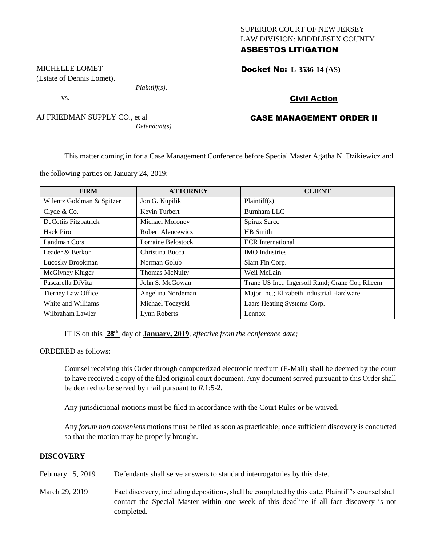## SUPERIOR COURT OF NEW JERSEY LAW DIVISION: MIDDLESEX COUNTY ASBESTOS LITIGATION

Docket No: **L-3536-14 (AS)** 

# Civil Action

# CASE MANAGEMENT ORDER II

This matter coming in for a Case Management Conference before Special Master Agatha N. Dzikiewicz and

the following parties on January 24, 2019:

| <b>FIRM</b>               | <b>ATTORNEY</b>    | <b>CLIENT</b>                                   |
|---------------------------|--------------------|-------------------------------------------------|
| Wilentz Goldman & Spitzer | Jon G. Kupilik     | Plaintiff(s)                                    |
| Clyde & Co.               | Kevin Turbert      | Burnham LLC                                     |
| DeCotiis Fitzpatrick      | Michael Moroney    | Spirax Sarco                                    |
| Hack Piro                 | Robert Alencewicz  | HB Smith                                        |
| Landman Corsi             | Lorraine Belostock | <b>ECR</b> International                        |
| Leader & Berkon           | Christina Bucca    | <b>IMO</b> Industries                           |
| Lucosky Brookman          | Norman Golub       | Slant Fin Corp.                                 |
| McGivney Kluger           | Thomas McNulty     | Weil McLain                                     |
| Pascarella DiVita         | John S. McGowan    | Trane US Inc.; Ingersoll Rand; Crane Co.; Rheem |
| Tierney Law Office        | Angelina Nordeman  | Major Inc.; Elizabeth Industrial Hardware       |
| White and Williams        | Michael Toczyski   | Laars Heating Systems Corp.                     |
| Wilbraham Lawler          | Lynn Roberts       | Lennox                                          |

IT IS on this **28th** day of **January, 2019**, *effective from the conference date;*

ORDERED as follows:

Counsel receiving this Order through computerized electronic medium (E-Mail) shall be deemed by the court to have received a copy of the filed original court document. Any document served pursuant to this Order shall be deemed to be served by mail pursuant to *R*.1:5-2.

Any jurisdictional motions must be filed in accordance with the Court Rules or be waived.

Any *forum non conveniens* motions must be filed as soon as practicable; once sufficient discovery is conducted so that the motion may be properly brought.

#### **DISCOVERY**

- February 15, 2019 Defendants shall serve answers to standard interrogatories by this date.
- March 29, 2019 Fact discovery, including depositions, shall be completed by this date. Plaintiff's counsel shall contact the Special Master within one week of this deadline if all fact discovery is not completed.

vs.

AJ FRIEDMAN SUPPLY CO., et al *Defendant(s).*

*Plaintiff(s),*

MICHELLE LOMET (Estate of Dennis Lomet),